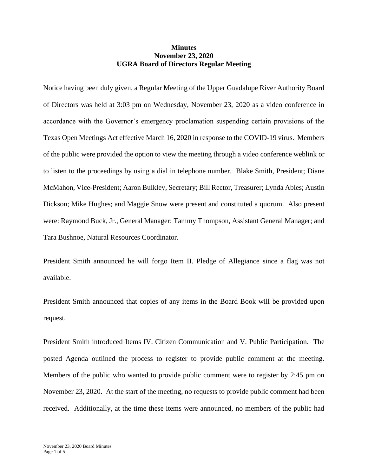## **Minutes November 23, 2020 UGRA Board of Directors Regular Meeting**

Notice having been duly given, a Regular Meeting of the Upper Guadalupe River Authority Board of Directors was held at 3:03 pm on Wednesday, November 23, 2020 as a video conference in accordance with the Governor's emergency proclamation suspending certain provisions of the Texas Open Meetings Act effective March 16, 2020 in response to the COVID-19 virus. Members of the public were provided the option to view the meeting through a video conference weblink or to listen to the proceedings by using a dial in telephone number. Blake Smith, President; Diane McMahon, Vice-President; Aaron Bulkley, Secretary; Bill Rector, Treasurer; Lynda Ables; Austin Dickson; Mike Hughes; and Maggie Snow were present and constituted a quorum. Also present were: Raymond Buck, Jr., General Manager; Tammy Thompson, Assistant General Manager; and Tara Bushnoe, Natural Resources Coordinator.

President Smith announced he will forgo Item II. Pledge of Allegiance since a flag was not available.

President Smith announced that copies of any items in the Board Book will be provided upon request.

President Smith introduced Items IV. Citizen Communication and V. Public Participation. The posted Agenda outlined the process to register to provide public comment at the meeting. Members of the public who wanted to provide public comment were to register by 2:45 pm on November 23, 2020. At the start of the meeting, no requests to provide public comment had been received. Additionally, at the time these items were announced, no members of the public had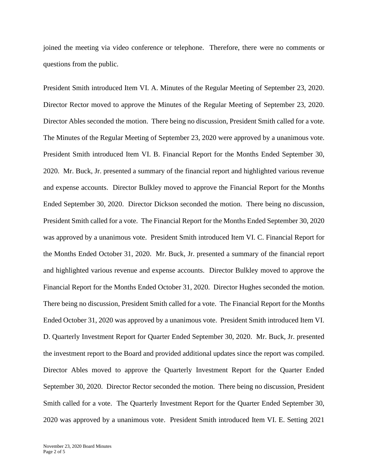joined the meeting via video conference or telephone. Therefore, there were no comments or questions from the public.

President Smith introduced Item VI. A. Minutes of the Regular Meeting of September 23, 2020. Director Rector moved to approve the Minutes of the Regular Meeting of September 23, 2020. Director Ables seconded the motion. There being no discussion, President Smith called for a vote. The Minutes of the Regular Meeting of September 23, 2020 were approved by a unanimous vote. President Smith introduced Item VI. B. Financial Report for the Months Ended September 30, 2020. Mr. Buck, Jr. presented a summary of the financial report and highlighted various revenue and expense accounts. Director Bulkley moved to approve the Financial Report for the Months Ended September 30, 2020. Director Dickson seconded the motion. There being no discussion, President Smith called for a vote. The Financial Report for the Months Ended September 30, 2020 was approved by a unanimous vote. President Smith introduced Item VI. C. Financial Report for the Months Ended October 31, 2020. Mr. Buck, Jr. presented a summary of the financial report and highlighted various revenue and expense accounts. Director Bulkley moved to approve the Financial Report for the Months Ended October 31, 2020. Director Hughes seconded the motion. There being no discussion, President Smith called for a vote. The Financial Report for the Months Ended October 31, 2020 was approved by a unanimous vote. President Smith introduced Item VI. D. Quarterly Investment Report for Quarter Ended September 30, 2020. Mr. Buck, Jr. presented the investment report to the Board and provided additional updates since the report was compiled. Director Ables moved to approve the Quarterly Investment Report for the Quarter Ended September 30, 2020. Director Rector seconded the motion. There being no discussion, President Smith called for a vote. The Quarterly Investment Report for the Quarter Ended September 30, 2020 was approved by a unanimous vote. President Smith introduced Item VI. E. Setting 2021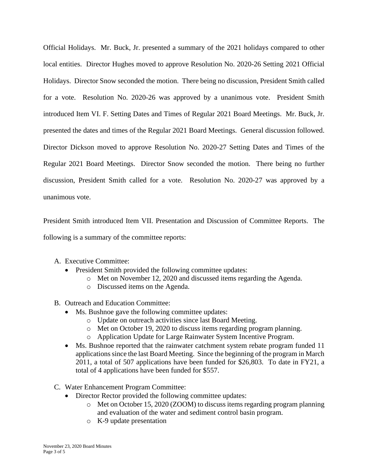Official Holidays. Mr. Buck, Jr. presented a summary of the 2021 holidays compared to other local entities. Director Hughes moved to approve Resolution No. 2020-26 Setting 2021 Official Holidays. Director Snow seconded the motion. There being no discussion, President Smith called for a vote. Resolution No. 2020-26 was approved by a unanimous vote. President Smith introduced Item VI. F. Setting Dates and Times of Regular 2021 Board Meetings. Mr. Buck, Jr. presented the dates and times of the Regular 2021 Board Meetings. General discussion followed. Director Dickson moved to approve Resolution No. 2020-27 Setting Dates and Times of the Regular 2021 Board Meetings. Director Snow seconded the motion. There being no further discussion, President Smith called for a vote. Resolution No. 2020-27 was approved by a unanimous vote.

President Smith introduced Item VII. Presentation and Discussion of Committee Reports. The following is a summary of the committee reports:

- A. Executive Committee:
	- President Smith provided the following committee updates:
		- o Met on November 12, 2020 and discussed items regarding the Agenda.
		- o Discussed items on the Agenda.
- B. Outreach and Education Committee:
	- Ms. Bushnoe gave the following committee updates:
		- o Update on outreach activities since last Board Meeting.
		- o Met on October 19, 2020 to discuss items regarding program planning.
		- o Application Update for Large Rainwater System Incentive Program.
	- Ms. Bushnoe reported that the rainwater catchment system rebate program funded 11 applications since the last Board Meeting. Since the beginning of the program in March 2011, a total of 507 applications have been funded for \$26,803. To date in FY21, a total of 4 applications have been funded for \$557.
- C. Water Enhancement Program Committee:
	- Director Rector provided the following committee updates:
		- o Met on October 15, 2020 (ZOOM) to discuss items regarding program planning and evaluation of the water and sediment control basin program.
		- o K-9 update presentation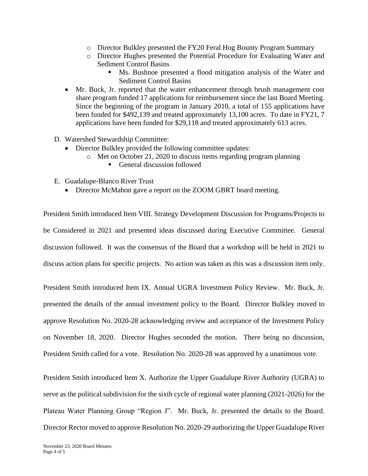- o Director Bulkley presented the FY20 Feral Hog Bounty Program Summary
- o Director Hughes presented the Potential Procedure for Evaluating Water and Sediment Control Basins
	- Ms. Bushnoe presented a flood mitigation analysis of the Water and Sediment Control Basins
- Mr. Buck, Jr. reported that the water enhancement through brush management cost share program funded 17 applications for reimbursement since the last Board Meeting. Since the beginning of the program in January 2010, a total of 155 applications have been funded for \$492,139 and treated approximately 13,100 acres. To date in FY21, 7 applications have been funded for \$29,118 and treated approximately 613 acres.
- D. Watershed Stewardship Committee:
	- Director Bulkley provided the following committee updates:
		- o Met on October 21, 2020 to discuss items regarding program planning
			- General discussion followed
- E. Guadalupe-Blanco River Trust
	- Director McMahon gave a report on the ZOOM GBRT board meeting.

President Smith introduced Item VIII. Strategy Development Discussion for Programs/Projects to be Considered in 2021 and presented ideas discussed during Executive Committee. General discussion followed. It was the consensus of the Board that a workshop will be held in 2021 to discuss action plans for specific projects. No action was taken as this was a discussion item only.

President Smith introduced Item IX. Annual UGRA Investment Policy Review. Mr. Buck, Jr. presented the details of the annual investment policy to the Board. Director Bulkley moved to approve Resolution No. 2020-28 acknowledging review and acceptance of the Investment Policy on November 18, 2020. Director Hughes seconded the motion. There being no discussion, President Smith called for a vote. Resolution No. 2020-28 was approved by a unanimous vote.

President Smith introduced Item X. Authorize the Upper Guadalupe River Authority (UGRA) to serve as the political subdivision for the sixth cycle of regional water planning (2021-2026) for the Plateau Water Planning Group "Region J". Mr. Buck, Jr. presented the details to the Board. Director Rector moved to approve Resolution No. 2020-29 authorizing the Upper Guadalupe River